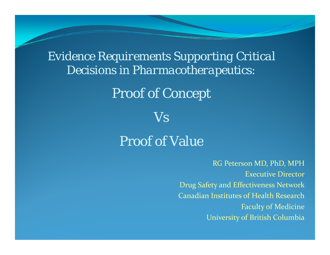*Evidence Requirements Supporting Critical Decisions in Pharmacotherapeutics:* 

#### Proof of Concept

*Vs*

#### Proof of Value

RG Peterson MD, PhD, MPH Executive Director Drug Safety and Effectiveness Network Canadian Institutes of Health Research Faculty of Medicine University of British Columbia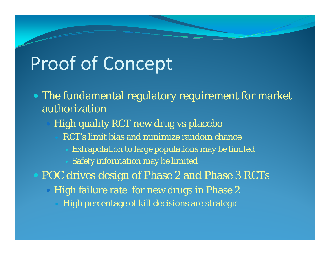## Proof of Concept

- The fundamental regulatory requirement for market authorization
	- High quality RCT new drug vs placebo
		- RCT's limit bias and minimize random chance
			- Extrapolation to large populations may be limited
			- Safety information may be limited
- POC drives design of Phase 2 and Phase 3 RCTs
	- High failure rate for new drugs in Phase 2
		- High percentage of kill decisions are strategic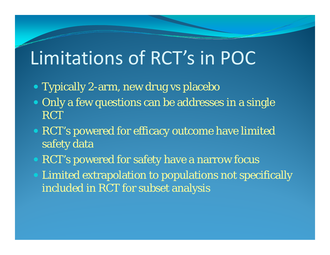## Limitations of RCT's in POC

- Typically 2-arm, new drug vs placebo
- Only a few questions can be addresses in a single RCT
- RCT's powered for efficacy outcome have limited safety data
- RCT's powered for safety have a narrow focus
- Limited extrapolation to populations not specifically included in RCT for subset analysis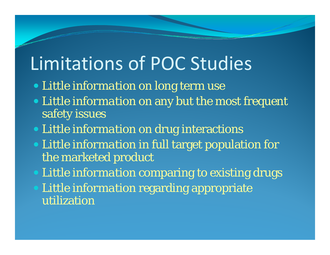# Limitations of POC Studies

- *Little information* on long term use
- *Little information* on any but the most frequent safety issues
- *Little information* on drug interactions
- *Little information* in full target population for the marketed product
- *Little information* comparing to existing drugs
- *Little information* regarding appropriate utilization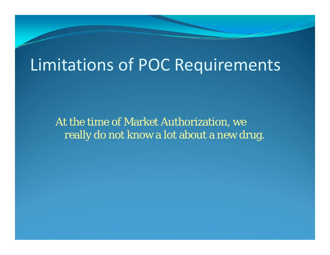#### Limitations of POC Requirements

At the time of Market Authorization, we really do not know a lot about a new drug.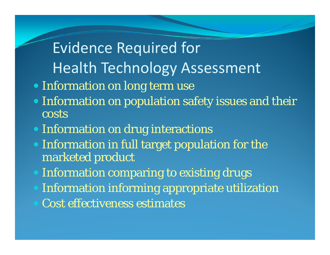### Evidence Required for Health Technology Assessment

- Information on long term use
- Information on population safety issues and their costs
- Information on drug interactions
- Information in full target population for the marketed product
- Information comparing to existing drugs
- Information informing appropriate utilization
- Cost effectiveness estimates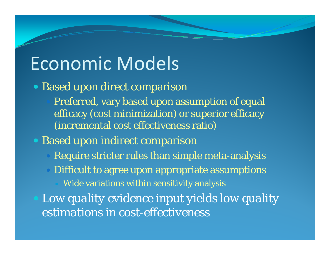## Economic Models

- Based upon direct comparison
	- Preferred, vary based upon assumption of equal efficacy (cost minimization) or superior efficacy (incremental cost effectiveness ratio)
- Based upon indirect comparison
	- Require stricter rules than simple meta-analysis
	- O Difficult to agree upon appropriate assumptions
		- Wide variations within sensitivity analysis
	- *Low quality evidence input yields low quality estimations in cost-effectiveness*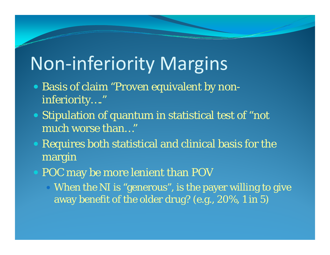# Non‐inferiority Margins

- Basis of claim "Proven equivalent by noninferiority…."
- Stipulation of quantum in statistical test of "not much worse than…"
- Requires both statistical and clinical basis for the margin
- POC may be more lenient than POV
	- When the NI is "generous", is the payer willing to give away benefit of the older drug? (e.g., 20%, 1 in 5)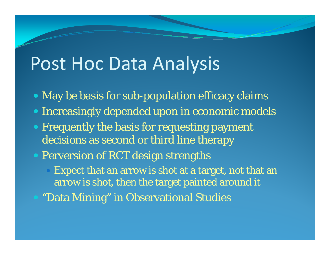### Post Hoc Data Analysis

- May be basis for sub-population efficacy claims
- Increasingly depended upon in economic models
- Frequently the basis for requesting payment decisions as second or third line therapy
- Perversion of RCT design strengths
	- $\bigcirc$ Expect that an arrow is shot at a target, not that an arrow is shot, then the target painted around it
- "Data Mining" in Observational Studies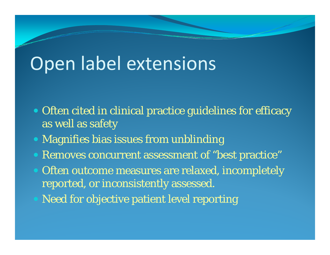## Open label extensions

- Often cited in clinical practice guidelines for efficacy as well as safety
- Magnifies bias issues from unblinding
- Removes concurrent assessment of "best practice"
- Often outcome measures are relaxed, incompletely reported, or inconsistently assessed.
- Need for objective patient level reporting